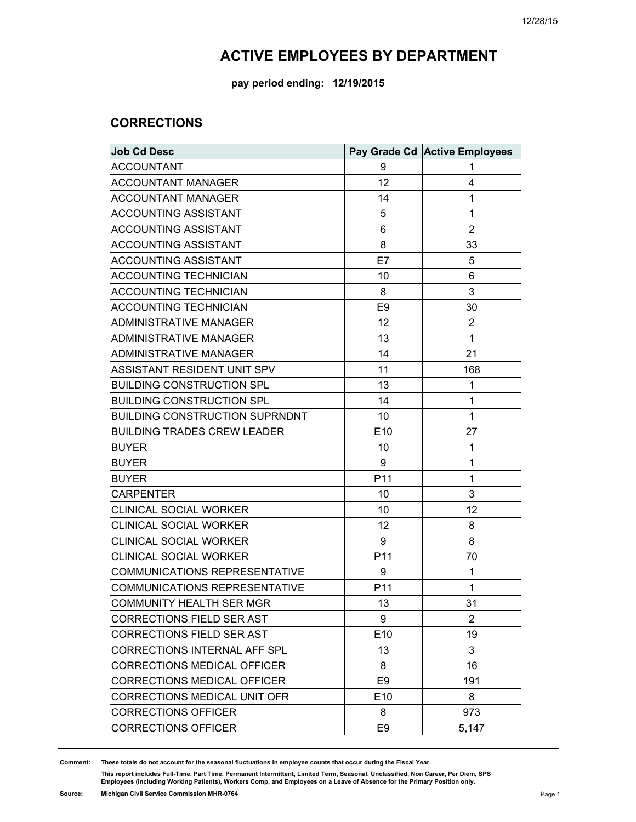**pay period ending: 12/19/2015**

### **CORRECTIONS**

| <b>Job Cd Desc</b>                    |                | Pay Grade Cd Active Employees |
|---------------------------------------|----------------|-------------------------------|
| <b>ACCOUNTANT</b>                     | 9              | 1                             |
| <b>ACCOUNTANT MANAGER</b>             | 12             | 4                             |
| <b>ACCOUNTANT MANAGER</b>             | 14             | 1                             |
| ACCOUNTING ASSISTANT                  | 5              | 1                             |
| <b>ACCOUNTING ASSISTANT</b>           | 6              | $\overline{2}$                |
| <b>ACCOUNTING ASSISTANT</b>           | 8              | 33                            |
| <b>ACCOUNTING ASSISTANT</b>           | E7             | 5                             |
| <b>ACCOUNTING TECHNICIAN</b>          | 10             | 6                             |
| <b>ACCOUNTING TECHNICIAN</b>          | 8              | 3                             |
| <b>ACCOUNTING TECHNICIAN</b>          | E <sub>9</sub> | 30                            |
| <b>ADMINISTRATIVE MANAGER</b>         | 12             | 2                             |
| <b>ADMINISTRATIVE MANAGER</b>         | 13             | 1                             |
| ADMINISTRATIVE MANAGER                | 14             | 21                            |
| ASSISTANT RESIDENT UNIT SPV           | 11             | 168                           |
| <b>BUILDING CONSTRUCTION SPL</b>      | 13             | 1                             |
| <b>BUILDING CONSTRUCTION SPL</b>      | 14             | 1                             |
| <b>BUILDING CONSTRUCTION SUPRNDNT</b> | 10             | $\mathbf 1$                   |
| <b>BUILDING TRADES CREW LEADER</b>    | E10            | 27                            |
| <b>BUYER</b>                          | 10             | 1                             |
| <b>BUYER</b>                          | 9              | 1                             |
| <b>BUYER</b>                          | P11            | 1                             |
| <b>CARPENTER</b>                      | 10             | 3                             |
| <b>CLINICAL SOCIAL WORKER</b>         | 10             | 12                            |
| <b>CLINICAL SOCIAL WORKER</b>         | 12             | 8                             |
| <b>CLINICAL SOCIAL WORKER</b>         | 9              | 8                             |
| <b>CLINICAL SOCIAL WORKER</b>         | P11            | 70                            |
| <b>COMMUNICATIONS REPRESENTATIVE</b>  | 9              | 1                             |
| <b>COMMUNICATIONS REPRESENTATIVE</b>  | P11            | 1                             |
| <b>COMMUNITY HEALTH SER MGR</b>       | 13             | 31                            |
| <b>CORRECTIONS FIELD SER AST</b>      | 9              | $\overline{c}$                |
| <b>CORRECTIONS FIELD SER AST</b>      | E10            | 19                            |
| CORRECTIONS INTERNAL AFF SPL          | 13             | 3                             |
| <b>CORRECTIONS MEDICAL OFFICER</b>    | 8              | 16                            |
| <b>CORRECTIONS MEDICAL OFFICER</b>    | E <sub>9</sub> | 191                           |
| CORRECTIONS MEDICAL UNIT OFR          | E10            | 8                             |
| <b>CORRECTIONS OFFICER</b>            | 8              | 973                           |
| <b>CORRECTIONS OFFICER</b>            | E <sub>9</sub> | 5,147                         |

**Comment: These totals do not account for the seasonal fluctuations in employee counts that occur during the Fiscal Year.**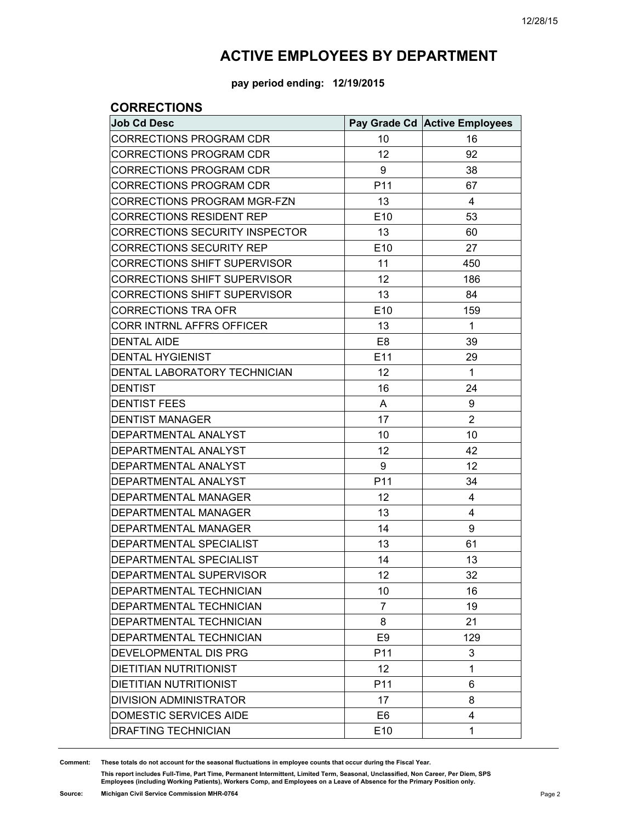**pay period ending: 12/19/2015**

### **CORRECTIONS**

| <b>Job Cd Desc</b>                  |                 | Pay Grade Cd Active Employees |
|-------------------------------------|-----------------|-------------------------------|
| <b>CORRECTIONS PROGRAM CDR</b>      | 10              | 16                            |
| <b>CORRECTIONS PROGRAM CDR</b>      | 12              | 92                            |
| <b>CORRECTIONS PROGRAM CDR</b>      | 9               | 38                            |
| <b>CORRECTIONS PROGRAM CDR</b>      | P11             | 67                            |
| <b>CORRECTIONS PROGRAM MGR-FZN</b>  | 13              | 4                             |
| <b>CORRECTIONS RESIDENT REP</b>     | E10             | 53                            |
| CORRECTIONS SECURITY INSPECTOR      | 13              | 60                            |
| <b>CORRECTIONS SECURITY REP</b>     | E10             | 27                            |
| <b>CORRECTIONS SHIFT SUPERVISOR</b> | 11              | 450                           |
| <b>CORRECTIONS SHIFT SUPERVISOR</b> | 12              | 186                           |
| <b>CORRECTIONS SHIFT SUPERVISOR</b> | 13              | 84                            |
| <b>CORRECTIONS TRA OFR</b>          | E10             | 159                           |
| <b>CORR INTRNL AFFRS OFFICER</b>    | 13              | 1                             |
| <b>DENTAL AIDE</b>                  | E <sub>8</sub>  | 39                            |
| <b>DENTAL HYGIENIST</b>             | E11             | 29                            |
| DENTAL LABORATORY TECHNICIAN        | 12              | $\mathbf{1}$                  |
| <b>DENTIST</b>                      | 16              | 24                            |
| <b>DENTIST FEES</b>                 | A               | 9                             |
| <b>DENTIST MANAGER</b>              | 17              | $\overline{2}$                |
| DEPARTMENTAL ANALYST                | 10              | 10                            |
| DEPARTMENTAL ANALYST                | 12              | 42                            |
| DEPARTMENTAL ANALYST                | 9               | 12                            |
| DEPARTMENTAL ANALYST                | P11             | 34                            |
| DEPARTMENTAL MANAGER                | 12              | 4                             |
| DEPARTMENTAL MANAGER                | 13              | 4                             |
| DEPARTMENTAL MANAGER                | 14              | 9                             |
| DEPARTMENTAL SPECIALIST             | 13              | 61                            |
| DEPARTMENTAL SPECIALIST             | 14              | 13                            |
| DEPARTMENTAL SUPERVISOR             | 12              | 32                            |
| DEPARTMENTAL TECHNICIAN             | 10              | 16                            |
| DEPARTMENTAL TECHNICIAN             | 7               | 19                            |
| DEPARTMENTAL TECHNICIAN             | 8               | 21                            |
| DEPARTMENTAL TECHNICIAN             | E <sub>9</sub>  | 129                           |
| DEVELOPMENTAL DIS PRG               | P <sub>11</sub> | 3                             |
| <b>DIETITIAN NUTRITIONIST</b>       | 12              | 1                             |
| <b>DIETITIAN NUTRITIONIST</b>       | P11             | 6                             |
| <b>DIVISION ADMINISTRATOR</b>       | 17              | 8                             |
| DOMESTIC SERVICES AIDE              | E <sub>6</sub>  | 4                             |
| <b>DRAFTING TECHNICIAN</b>          | E10             | 1                             |

**Comment: These totals do not account for the seasonal fluctuations in employee counts that occur during the Fiscal Year.**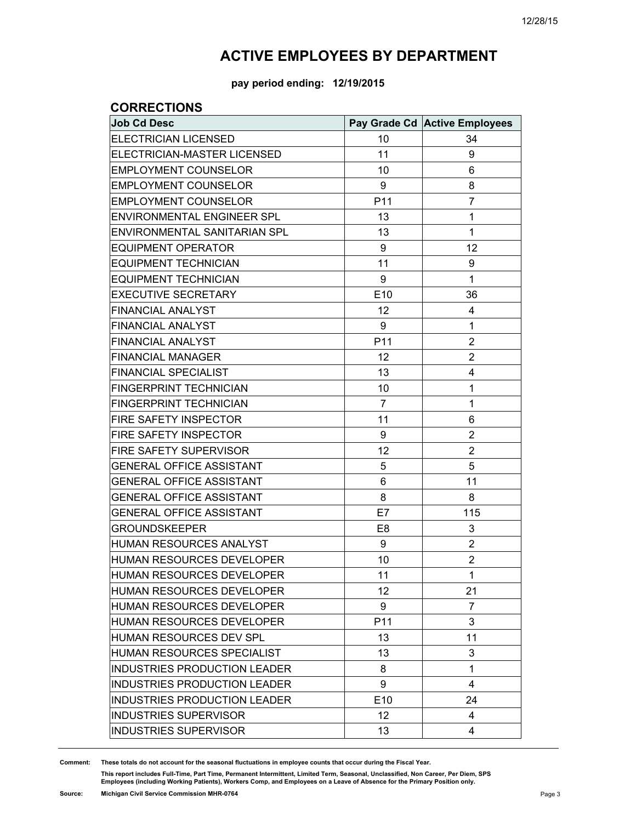**pay period ending: 12/19/2015**

#### **CORRECTIONS**

| <b>Job Cd Desc</b>                  |                 | Pay Grade Cd Active Employees |
|-------------------------------------|-----------------|-------------------------------|
| <b>ELECTRICIAN LICENSED</b>         | 10              | 34                            |
| ELECTRICIAN-MASTER LICENSED         | 11              | 9                             |
| <b>EMPLOYMENT COUNSELOR</b>         | 10              | 6                             |
| <b>EMPLOYMENT COUNSELOR</b>         | 9               | 8                             |
| <b>EMPLOYMENT COUNSELOR</b>         | P11             | $\overline{7}$                |
| <b>ENVIRONMENTAL ENGINEER SPL</b>   | 13              | 1                             |
| ENVIRONMENTAL SANITARIAN SPL        | 13              | 1                             |
| <b>EQUIPMENT OPERATOR</b>           | 9               | 12                            |
| <b>EQUIPMENT TECHNICIAN</b>         | 11              | 9                             |
| <b>EQUIPMENT TECHNICIAN</b>         | 9               | $\mathbf{1}$                  |
| <b>EXECUTIVE SECRETARY</b>          | E10             | 36                            |
| <b>FINANCIAL ANALYST</b>            | 12              | 4                             |
| <b>FINANCIAL ANALYST</b>            | 9               | 1                             |
| <b>FINANCIAL ANALYST</b>            | P11             | $\overline{2}$                |
| <b>FINANCIAL MANAGER</b>            | 12              | 2                             |
| <b>FINANCIAL SPECIALIST</b>         | 13              | 4                             |
| <b>FINGERPRINT TECHNICIAN</b>       | 10              | 1                             |
| <b>FINGERPRINT TECHNICIAN</b>       | $\overline{7}$  | 1                             |
| FIRE SAFETY INSPECTOR               | 11              | 6                             |
| FIRE SAFETY INSPECTOR               | 9               | $\overline{2}$                |
| FIRE SAFETY SUPERVISOR              | 12              | $\overline{2}$                |
| <b>GENERAL OFFICE ASSISTANT</b>     | 5               | 5                             |
| <b>GENERAL OFFICE ASSISTANT</b>     | 6               | 11                            |
| <b>GENERAL OFFICE ASSISTANT</b>     | 8               | 8                             |
| <b>GENERAL OFFICE ASSISTANT</b>     | E7              | 115                           |
| <b>GROUNDSKEEPER</b>                | E <sub>8</sub>  | 3                             |
| HUMAN RESOURCES ANALYST             | 9               | 2                             |
| HUMAN RESOURCES DEVELOPER           | 10              | $\overline{2}$                |
| HUMAN RESOURCES DEVELOPER           | 11              | 1                             |
| HUMAN RESOURCES DEVELOPER           | 12              | 21                            |
| HUMAN RESOURCES DEVELOPER           | 9               | 7                             |
| HUMAN RESOURCES DEVELOPER           | P11             | 3                             |
| <b>HUMAN RESOURCES DEV SPL</b>      | 13              | 11                            |
| HUMAN RESOURCES SPECIALIST          | 13              | 3                             |
| <b>INDUSTRIES PRODUCTION LEADER</b> | 8               | 1                             |
| <b>INDUSTRIES PRODUCTION LEADER</b> | 9               | 4                             |
| INDUSTRIES PRODUCTION LEADER        | E10             | 24                            |
| <b>INDUSTRIES SUPERVISOR</b>        | 12 <sup>2</sup> | 4                             |
| <b>INDUSTRIES SUPERVISOR</b>        | 13              | 4                             |

**Comment: These totals do not account for the seasonal fluctuations in employee counts that occur during the Fiscal Year.**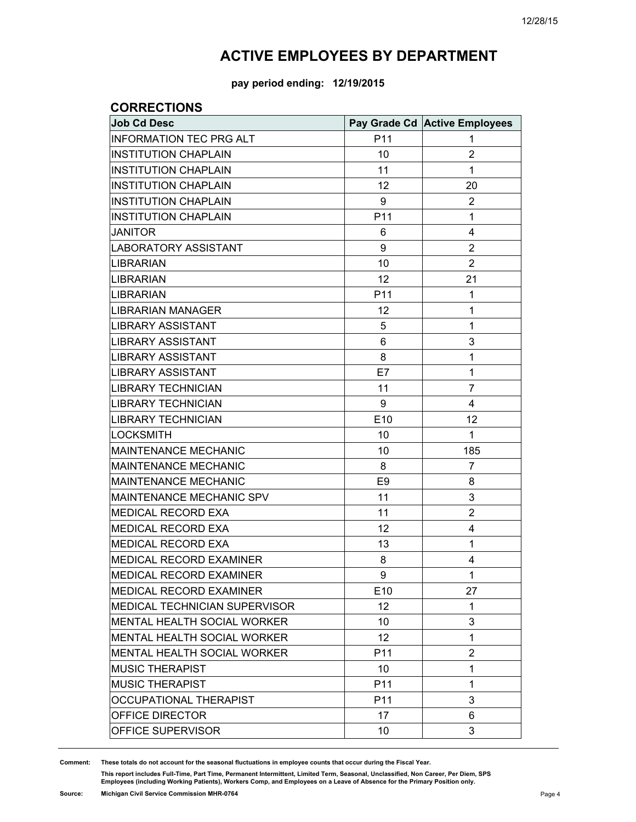**pay period ending: 12/19/2015**

#### **CORRECTIONS**

| <b>Job Cd Desc</b>                   |                 | Pay Grade Cd Active Employees |
|--------------------------------------|-----------------|-------------------------------|
| <b>INFORMATION TEC PRG ALT</b>       | P11             | 1                             |
| <b>INSTITUTION CHAPLAIN</b>          | 10              | $\overline{2}$                |
| <b>INSTITUTION CHAPLAIN</b>          | 11              | 1                             |
| <b>INSTITUTION CHAPLAIN</b>          | 12              | 20                            |
| <b>INSTITUTION CHAPLAIN</b>          | 9               | 2                             |
| <b>INSTITUTION CHAPLAIN</b>          | P11             | 1                             |
| <b>JANITOR</b>                       | 6               | 4                             |
| <b>LABORATORY ASSISTANT</b>          | 9               | 2                             |
| <b>LIBRARIAN</b>                     | 10              | 2                             |
| <b>LIBRARIAN</b>                     | 12              | 21                            |
| <b>LIBRARIAN</b>                     | P11             | 1                             |
| <b>LIBRARIAN MANAGER</b>             | 12              | 1                             |
| <b>LIBRARY ASSISTANT</b>             | 5               | 1                             |
| <b>LIBRARY ASSISTANT</b>             | 6               | 3                             |
| <b>LIBRARY ASSISTANT</b>             | 8               | 1                             |
| <b>LIBRARY ASSISTANT</b>             | E7              | 1                             |
| <b>LIBRARY TECHNICIAN</b>            | 11              | 7                             |
| <b>LIBRARY TECHNICIAN</b>            | 9               | 4                             |
| <b>LIBRARY TECHNICIAN</b>            | E10             | 12                            |
| <b>LOCKSMITH</b>                     | 10              | 1                             |
| <b>MAINTENANCE MECHANIC</b>          | 10              | 185                           |
| <b>MAINTENANCE MECHANIC</b>          | 8               | $\overline{7}$                |
| <b>MAINTENANCE MECHANIC</b>          | E <sub>9</sub>  | 8                             |
| MAINTENANCE MECHANIC SPV             | 11              | 3                             |
| MEDICAL RECORD EXA                   | 11              | $\overline{2}$                |
| MEDICAL RECORD EXA                   | 12              | 4                             |
| MEDICAL RECORD EXA                   | 13              | 1                             |
| MEDICAL RECORD EXAMINER              | 8               | 4                             |
| MEDICAL RECORD EXAMINER              | 9               | 1                             |
| MEDICAL RECORD EXAMINER              | E10             | 27                            |
| <b>MEDICAL TECHNICIAN SUPERVISOR</b> | 12              | 1                             |
| MENTAL HEALTH SOCIAL WORKER          | 10              | 3                             |
| <b>MENTAL HEALTH SOCIAL WORKER</b>   | 12              | 1                             |
| MENTAL HEALTH SOCIAL WORKER          | P11             | 2                             |
| <b>MUSIC THERAPIST</b>               | 10              | 1                             |
| <b>MUSIC THERAPIST</b>               | P11             | 1                             |
| OCCUPATIONAL THERAPIST               | P <sub>11</sub> | 3                             |
| OFFICE DIRECTOR                      | 17              | 6                             |
| OFFICE SUPERVISOR                    | 10              | 3                             |

**Comment: These totals do not account for the seasonal fluctuations in employee counts that occur during the Fiscal Year.**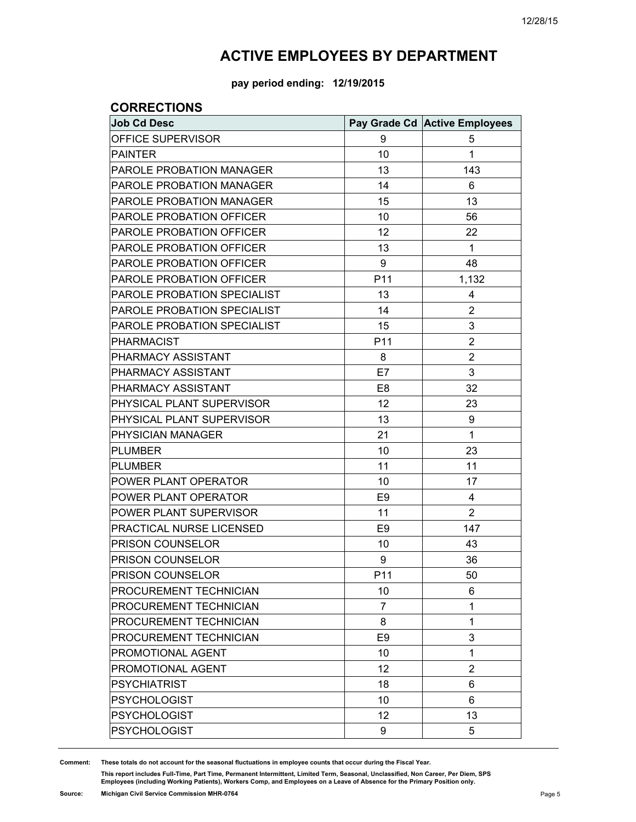**pay period ending: 12/19/2015**

### **CORRECTIONS**

| <b>Job Cd Desc</b>              |                 | Pay Grade Cd Active Employees |
|---------------------------------|-----------------|-------------------------------|
| OFFICE SUPERVISOR               | 9               | 5                             |
| <b>PAINTER</b>                  | 10              | 1                             |
| PAROLE PROBATION MANAGER        | 13              | 143                           |
| <b>PAROLE PROBATION MANAGER</b> | 14              | 6                             |
| <b>PAROLE PROBATION MANAGER</b> | 15              | 13                            |
| PAROLE PROBATION OFFICER        | 10              | 56                            |
| PAROLE PROBATION OFFICER        | 12              | 22                            |
| PAROLE PROBATION OFFICER        | 13              | $\mathbf{1}$                  |
| PAROLE PROBATION OFFICER        | 9               | 48                            |
| PAROLE PROBATION OFFICER        | P11             | 1,132                         |
| PAROLE PROBATION SPECIALIST     | 13              | 4                             |
| PAROLE PROBATION SPECIALIST     | 14              | $\overline{2}$                |
| PAROLE PROBATION SPECIALIST     | 15              | 3                             |
| <b>PHARMACIST</b>               | P11             | $\overline{2}$                |
| PHARMACY ASSISTANT              | 8               | $\overline{2}$                |
| PHARMACY ASSISTANT              | E7              | 3                             |
| PHARMACY ASSISTANT              | E <sub>8</sub>  | 32                            |
| PHYSICAL PLANT SUPERVISOR       | 12              | 23                            |
| PHYSICAL PLANT SUPERVISOR       | 13              | 9                             |
| PHYSICIAN MANAGER               | 21              | 1                             |
| <b>PLUMBER</b>                  | 10              | 23                            |
| <b>PLUMBER</b>                  | 11              | 11                            |
| POWER PLANT OPERATOR            | 10              | 17                            |
| POWER PLANT OPERATOR            | E <sub>9</sub>  | 4                             |
| POWER PLANT SUPERVISOR          | 11              | $\overline{2}$                |
| PRACTICAL NURSE LICENSED        | E <sub>9</sub>  | 147                           |
| PRISON COUNSELOR                | 10              | 43                            |
| PRISON COUNSELOR                | 9               | 36                            |
| PRISON COUNSELOR                | P <sub>11</sub> | 50                            |
| PROCUREMENT TECHNICIAN          | 10              | 6                             |
| PROCUREMENT TECHNICIAN          | 7               | 1                             |
| PROCUREMENT TECHNICIAN          | 8               | 1                             |
| PROCUREMENT TECHNICIAN          | E <sub>9</sub>  | 3                             |
| PROMOTIONAL AGENT               | 10              | 1                             |
| PROMOTIONAL AGENT               | 12              | $\overline{2}$                |
| <b>PSYCHIATRIST</b>             | 18              | 6                             |
| <b>PSYCHOLOGIST</b>             | 10              | 6                             |
| <b>PSYCHOLOGIST</b>             | 12              | 13                            |
| <b>PSYCHOLOGIST</b>             | 9               | 5                             |

**Comment: These totals do not account for the seasonal fluctuations in employee counts that occur during the Fiscal Year.**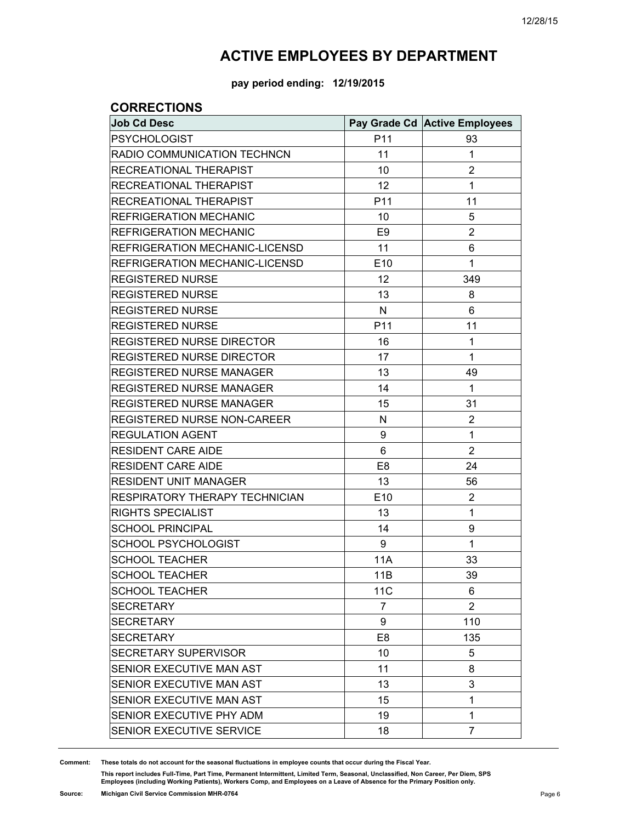**pay period ending: 12/19/2015**

### **CORRECTIONS**

| <b>Job Cd Desc</b>                 |                 | Pay Grade Cd Active Employees |
|------------------------------------|-----------------|-------------------------------|
| <b>PSYCHOLOGIST</b>                | P11             | 93                            |
| RADIO COMMUNICATION TECHNCN        | 11              | 1                             |
| RECREATIONAL THERAPIST             | 10              | 2                             |
| RECREATIONAL THERAPIST             | 12              | 1                             |
| RECREATIONAL THERAPIST             | P11             | 11                            |
| <b>REFRIGERATION MECHANIC</b>      | 10              | 5                             |
| <b>REFRIGERATION MECHANIC</b>      | E <sub>9</sub>  | $\overline{2}$                |
| REFRIGERATION MECHANIC-LICENSD     | 11              | 6                             |
| REFRIGERATION MECHANIC-LICENSD     | E10             | 1                             |
| <b>REGISTERED NURSE</b>            | 12              | 349                           |
| <b>REGISTERED NURSE</b>            | 13              | 8                             |
| <b>REGISTERED NURSE</b>            | N               | 6                             |
| <b>REGISTERED NURSE</b>            | P11             | 11                            |
| REGISTERED NURSE DIRECTOR          | 16              | 1                             |
| REGISTERED NURSE DIRECTOR          | 17              | 1                             |
| <b>REGISTERED NURSE MANAGER</b>    | 13              | 49                            |
| REGISTERED NURSE MANAGER           | 14              | 1                             |
| REGISTERED NURSE MANAGER           | 15              | 31                            |
| <b>REGISTERED NURSE NON-CAREER</b> | N               | 2                             |
| <b>REGULATION AGENT</b>            | 9               | 1                             |
| <b>RESIDENT CARE AIDE</b>          | 6               | $\overline{2}$                |
| <b>RESIDENT CARE AIDE</b>          | E <sub>8</sub>  | 24                            |
| <b>RESIDENT UNIT MANAGER</b>       | 13              | 56                            |
| RESPIRATORY THERAPY TECHNICIAN     | E10             | $\overline{2}$                |
| RIGHTS SPECIALIST                  | 13              | 1                             |
| <b>SCHOOL PRINCIPAL</b>            | 14              | 9                             |
| <b>SCHOOL PSYCHOLOGIST</b>         | 9               | 1                             |
| <b>SCHOOL TEACHER</b>              | <b>11A</b>      | 33                            |
| <b>SCHOOL TEACHER</b>              | 11B             | 39                            |
| <b>SCHOOL TEACHER</b>              | 11 <sub>C</sub> | 6                             |
| <b>SECRETARY</b>                   | 7               | 2                             |
| <b>SECRETARY</b>                   | 9               | 110                           |
| <b>SECRETARY</b>                   | E <sub>8</sub>  | 135                           |
| SECRETARY SUPERVISOR               | 10              | 5                             |
| SENIOR EXECUTIVE MAN AST           | 11              | 8                             |
| SENIOR EXECUTIVE MAN AST           | 13              | 3                             |
| SENIOR EXECUTIVE MAN AST           | 15              | 1                             |
| SENIOR EXECUTIVE PHY ADM           | 19              | 1                             |
| SENIOR EXECUTIVE SERVICE           | 18              | 7                             |

**Comment: These totals do not account for the seasonal fluctuations in employee counts that occur during the Fiscal Year.**